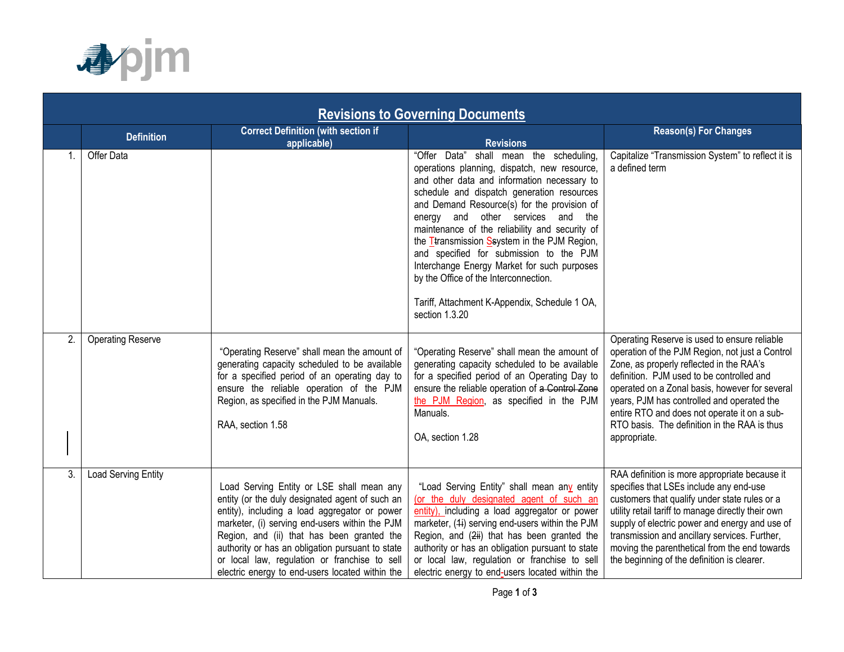

| <b>Revisions to Governing Documents</b> |                            |                                                                                                                                                                                                                                                                                                                                                                                                       |                                                                                                                                                                                                                                                                                                                                                                                                                                                                                                                                                                                             |                                                                                                                                                                                                                                                                                                                                                                                                          |  |  |  |
|-----------------------------------------|----------------------------|-------------------------------------------------------------------------------------------------------------------------------------------------------------------------------------------------------------------------------------------------------------------------------------------------------------------------------------------------------------------------------------------------------|---------------------------------------------------------------------------------------------------------------------------------------------------------------------------------------------------------------------------------------------------------------------------------------------------------------------------------------------------------------------------------------------------------------------------------------------------------------------------------------------------------------------------------------------------------------------------------------------|----------------------------------------------------------------------------------------------------------------------------------------------------------------------------------------------------------------------------------------------------------------------------------------------------------------------------------------------------------------------------------------------------------|--|--|--|
|                                         | <b>Definition</b>          | <b>Correct Definition (with section if</b><br>applicable)                                                                                                                                                                                                                                                                                                                                             | <b>Revisions</b>                                                                                                                                                                                                                                                                                                                                                                                                                                                                                                                                                                            | <b>Reason(s) For Changes</b>                                                                                                                                                                                                                                                                                                                                                                             |  |  |  |
|                                         | <b>Offer Data</b>          |                                                                                                                                                                                                                                                                                                                                                                                                       | "Offer Data"<br>shall mean the scheduling,<br>operations planning, dispatch, new resource,<br>and other data and information necessary to<br>schedule and dispatch generation resources<br>and Demand Resource(s) for the provision of<br>energy and other services and the<br>maintenance of the reliability and security of<br>the <i>T</i> transmission Ssystem in the PJM Region,<br>and specified for submission to the PJM<br>Interchange Energy Market for such purposes<br>by the Office of the Interconnection.<br>Tariff, Attachment K-Appendix, Schedule 1 OA,<br>section 1.3.20 | Capitalize "Transmission System" to reflect it is<br>a defined term                                                                                                                                                                                                                                                                                                                                      |  |  |  |
| 2.                                      | <b>Operating Reserve</b>   | "Operating Reserve" shall mean the amount of<br>generating capacity scheduled to be available<br>for a specified period of an operating day to<br>ensure the reliable operation of the PJM<br>Region, as specified in the PJM Manuals.<br>RAA, section 1.58                                                                                                                                           | "Operating Reserve" shall mean the amount of<br>generating capacity scheduled to be available<br>for a specified period of an Operating Day to<br>ensure the reliable operation of a Control Zone<br>the PJM Region, as specified in the PJM<br>Manuals.<br>OA, section 1.28                                                                                                                                                                                                                                                                                                                | Operating Reserve is used to ensure reliable<br>operation of the PJM Region, not just a Control<br>Zone, as properly reflected in the RAA's<br>definition. PJM used to be controlled and<br>operated on a Zonal basis, however for several<br>years, PJM has controlled and operated the<br>entire RTO and does not operate it on a sub-<br>RTO basis. The definition in the RAA is thus<br>appropriate. |  |  |  |
| 3.                                      | <b>Load Serving Entity</b> | Load Serving Entity or LSE shall mean any<br>entity (or the duly designated agent of such an<br>entity), including a load aggregator or power<br>marketer, (i) serving end-users within the PJM<br>Region, and (ii) that has been granted the<br>authority or has an obligation pursuant to state<br>or local law, regulation or franchise to sell<br>electric energy to end-users located within the | "Load Serving Entity" shall mean any entity<br>(or the duly designated agent of such an<br>entity), including a load aggregator or power<br>marketer, (4i) serving end-users within the PJM<br>Region, and (2ii) that has been granted the<br>authority or has an obligation pursuant to state<br>or local law, regulation or franchise to sell<br>electric energy to end-users located within the                                                                                                                                                                                          | RAA definition is more appropriate because it<br>specifies that LSEs include any end-use<br>customers that qualify under state rules or a<br>utility retail tariff to manage directly their own<br>supply of electric power and energy and use of<br>transmission and ancillary services. Further,<br>moving the parenthetical from the end towards<br>the beginning of the definition is clearer.       |  |  |  |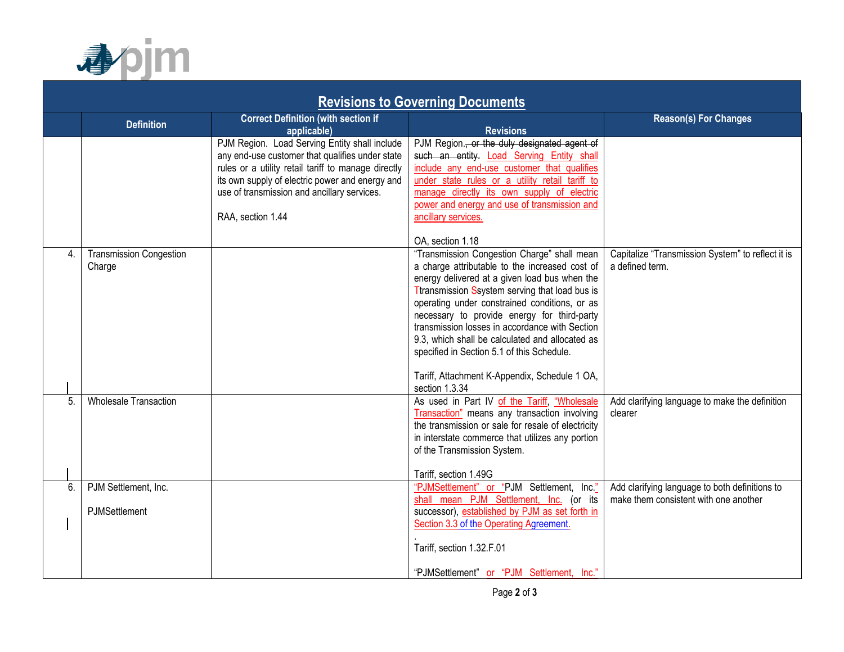

| <b>Revisions to Governing Documents</b> |                                |                                                     |                                                                                              |                                                   |  |  |  |
|-----------------------------------------|--------------------------------|-----------------------------------------------------|----------------------------------------------------------------------------------------------|---------------------------------------------------|--|--|--|
|                                         |                                | <b>Correct Definition (with section if</b>          |                                                                                              | <b>Reason(s) For Changes</b>                      |  |  |  |
|                                         | <b>Definition</b>              | applicable)                                         | <b>Revisions</b>                                                                             |                                                   |  |  |  |
|                                         |                                | PJM Region. Load Serving Entity shall include       | PJM Region., or the duly designated agent of                                                 |                                                   |  |  |  |
|                                         |                                | any end-use customer that qualifies under state     | such an entity. Load Serving Entity shall                                                    |                                                   |  |  |  |
|                                         |                                | rules or a utility retail tariff to manage directly | include any end-use customer that qualifies                                                  |                                                   |  |  |  |
|                                         |                                | its own supply of electric power and energy and     | under state rules or a utility retail tariff to                                              |                                                   |  |  |  |
|                                         |                                | use of transmission and ancillary services.         | manage directly its own supply of electric                                                   |                                                   |  |  |  |
|                                         |                                |                                                     | power and energy and use of transmission and                                                 |                                                   |  |  |  |
|                                         |                                | RAA, section 1.44                                   | ancillary services.                                                                          |                                                   |  |  |  |
|                                         |                                |                                                     | OA, section 1.18                                                                             |                                                   |  |  |  |
| $\overline{4}$ .                        | <b>Transmission Congestion</b> |                                                     | "Transmission Congestion Charge" shall mean                                                  | Capitalize "Transmission System" to reflect it is |  |  |  |
|                                         | Charge                         |                                                     | a charge attributable to the increased cost of                                               | a defined term.                                   |  |  |  |
|                                         |                                |                                                     | energy delivered at a given load bus when the                                                |                                                   |  |  |  |
|                                         |                                |                                                     | Ttransmission Ssystem serving that load bus is                                               |                                                   |  |  |  |
|                                         |                                |                                                     | operating under constrained conditions, or as<br>necessary to provide energy for third-party |                                                   |  |  |  |
|                                         |                                |                                                     | transmission losses in accordance with Section                                               |                                                   |  |  |  |
|                                         |                                |                                                     | 9.3, which shall be calculated and allocated as                                              |                                                   |  |  |  |
|                                         |                                |                                                     | specified in Section 5.1 of this Schedule.                                                   |                                                   |  |  |  |
|                                         |                                |                                                     |                                                                                              |                                                   |  |  |  |
|                                         |                                |                                                     | Tariff, Attachment K-Appendix, Schedule 1 OA,                                                |                                                   |  |  |  |
|                                         |                                |                                                     | section 1.3.34                                                                               |                                                   |  |  |  |
| 5.                                      | <b>Wholesale Transaction</b>   |                                                     | As used in Part IV of the Tariff, "Wholesale                                                 | Add clarifying language to make the definition    |  |  |  |
|                                         |                                |                                                     | Transaction" means any transaction involving                                                 | clearer                                           |  |  |  |
|                                         |                                |                                                     | the transmission or sale for resale of electricity                                           |                                                   |  |  |  |
|                                         |                                |                                                     | in interstate commerce that utilizes any portion                                             |                                                   |  |  |  |
|                                         |                                |                                                     | of the Transmission System.                                                                  |                                                   |  |  |  |
|                                         |                                |                                                     | Tariff, section 1.49G                                                                        |                                                   |  |  |  |
| 6.                                      | PJM Settlement, Inc.           |                                                     | "PJMSettlement" or "PJM Settlement, Inc."                                                    | Add clarifying language to both definitions to    |  |  |  |
|                                         |                                |                                                     | shall mean PJM Settlement, Inc. (or its                                                      | make them consistent with one another             |  |  |  |
|                                         | PJMSettlement                  |                                                     | successor), established by PJM as set forth in                                               |                                                   |  |  |  |
|                                         |                                |                                                     | Section 3.3 of the Operating Agreement.                                                      |                                                   |  |  |  |
|                                         |                                |                                                     | Tariff, section 1.32.F.01                                                                    |                                                   |  |  |  |
|                                         |                                |                                                     | "PJMSettlement" or "PJM Settlement, Inc."                                                    |                                                   |  |  |  |